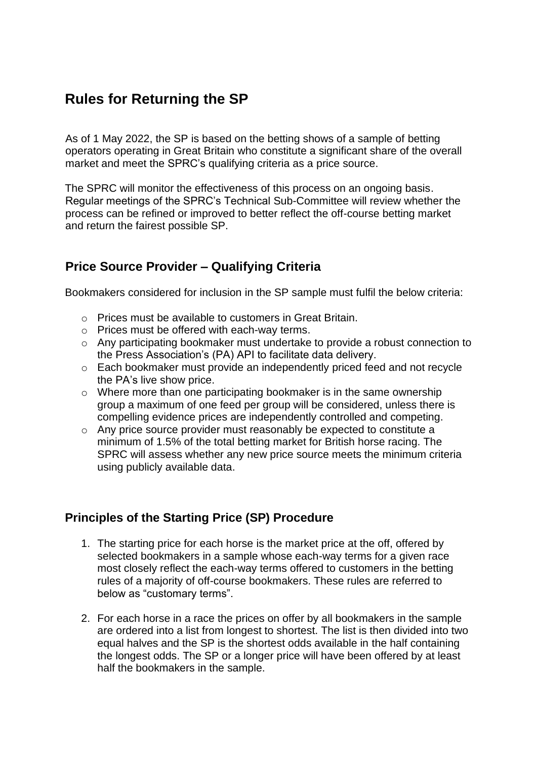# **Rules for Returning the SP**

As of 1 May 2022, the SP is based on the betting shows of a sample of betting operators operating in Great Britain who constitute a significant share of the overall market and meet the SPRC's qualifying criteria as a price source.

The SPRC will monitor the effectiveness of this process on an ongoing basis. Regular meetings of the SPRC's Technical Sub-Committee will review whether the process can be refined or improved to better reflect the off-course betting market and return the fairest possible SP.

## **Price Source Provider – Qualifying Criteria**

Bookmakers considered for inclusion in the SP sample must fulfil the below criteria:

- o Prices must be available to customers in Great Britain.
- o Prices must be offered with each-way terms.
- o Any participating bookmaker must undertake to provide a robust connection to the Press Association's (PA) API to facilitate data delivery.
- o Each bookmaker must provide an independently priced feed and not recycle the PA's live show price.
- o Where more than one participating bookmaker is in the same ownership group a maximum of one feed per group will be considered, unless there is compelling evidence prices are independently controlled and competing.
- o Any price source provider must reasonably be expected to constitute a minimum of 1.5% of the total betting market for British horse racing. The SPRC will assess whether any new price source meets the minimum criteria using publicly available data.

## **Principles of the Starting Price (SP) Procedure**

- 1. The starting price for each horse is the market price at the off, offered by selected bookmakers in a sample whose each-way terms for a given race most closely reflect the each-way terms offered to customers in the betting rules of a majority of off-course bookmakers. These rules are referred to below as "customary terms".
- 2. For each horse in a race the prices on offer by all bookmakers in the sample are ordered into a list from longest to shortest. The list is then divided into two equal halves and the SP is the shortest odds available in the half containing the longest odds. The SP or a longer price will have been offered by at least half the bookmakers in the sample.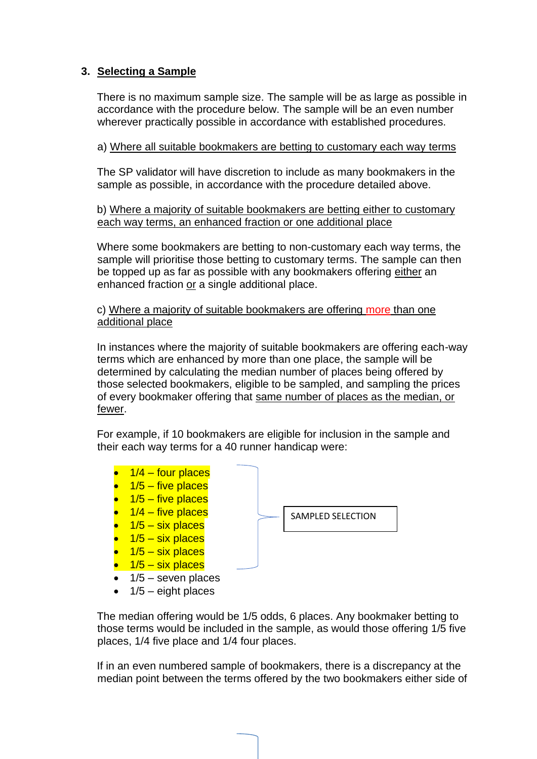#### **3. Selecting a Sample**

There is no maximum sample size. The sample will be as large as possible in accordance with the procedure below. The sample will be an even number wherever practically possible in accordance with established procedures.

a) Where all suitable bookmakers are betting to customary each way terms

The SP validator will have discretion to include as many bookmakers in the sample as possible, in accordance with the procedure detailed above.

b) Where a majority of suitable bookmakers are betting either to customary each way terms, an enhanced fraction or one additional place

Where some bookmakers are betting to non-customary each way terms, the sample will prioritise those betting to customary terms. The sample can then be topped up as far as possible with any bookmakers offering either an enhanced fraction or a single additional place.

c) Where a majority of suitable bookmakers are offering more than one additional place

In instances where the majority of suitable bookmakers are offering each-way terms which are enhanced by more than one place, the sample will be determined by calculating the median number of places being offered by those selected bookmakers, eligible to be sampled, and sampling the prices of every bookmaker offering that same number of places as the median, or fewer.

For example, if 10 bookmakers are eligible for inclusion in the sample and their each way terms for a 40 runner handicap were:

- $\bullet$  1/4 four places  $1/5$  – five places  $\bullet$  1/5 – five places  $\bullet$  1/4 – five places  $1/5 - \text{six places}$  $1/5 - \text{s}$ ix places
- $\bullet$  1/5 six places
- $\bullet$  1/5 six places
- $\bullet$  1/5 seven places
- $\bullet$  1/5 eight places

The median offering would be 1/5 odds, 6 places. Any bookmaker betting to those terms would be included in the sample, as would those offering 1/5 five places, 1/4 five place and 1/4 four places.

If in an even numbered sample of bookmakers, there is a discrepancy at the median point between the terms offered by the two bookmakers either side of